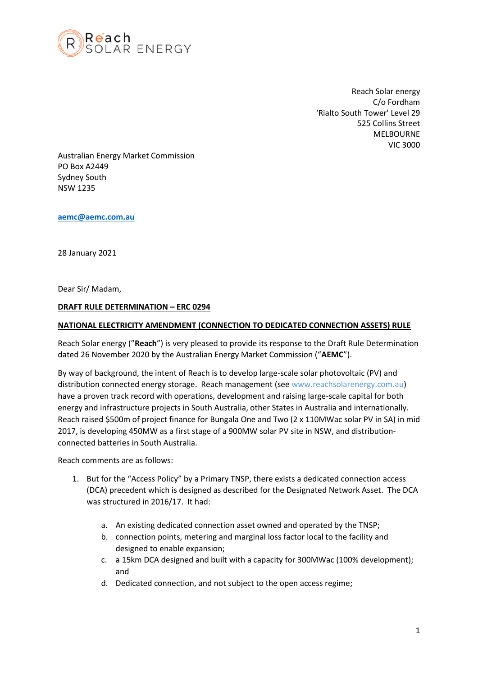

Reach Solar energy C/o Fordham 'Rialto South Tower' Level 29 525 Collins Street MELBOURNE VIC 3000

Australian Energy Market Commission PO Box A2449 Sydney South NSW 1235

**[aemc@aemc.com.au](mailto:aemc@aemc.com.au)**

28 January 2021

Dear Sir/ Madam,

#### **DRAFT RULE DETERMINATION – ERC 0294**

#### **NATIONAL ELECTRICITY AMENDMENT (CONNECTION TO DEDICATED CONNECTION ASSETS) RULE**

Reach Solar energy ("**Reach**") is very pleased to provide its response to the Draft Rule Determination dated 26 November 2020 by the Australian Energy Market Commission ("**AEMC**").

By way of background, the intent of Reach is to develop large-scale solar photovoltaic (PV) and distribution connected energy storage. Reach management (see www.reachsolarenergy.com.au) have a proven track record with operations, development and raising large-scale capital for both energy and infrastructure projects in South Australia, other States in Australia and internationally. Reach raised \$500m of project finance for Bungala One and Two (2 x 110MWac solar PV in SA) in mid 2017, is developing 450MW as a first stage of a 900MW solar PV site in NSW, and distributionconnected batteries in South Australia.

Reach comments are as follows:

- 1. But for the "Access Policy" by a Primary TNSP, there exists a dedicated connection access (DCA) precedent which is designed as described for the Designated Network Asset. The DCA was structured in 2016/17. It had:
	- a. An existing dedicated connection asset owned and operated by the TNSP;
	- b. connection points, metering and marginal loss factor local to the facility and designed to enable expansion;
	- c. a 15km DCA designed and built with a capacity for 300MWac (100% development); and
	- d. Dedicated connection, and not subject to the open access regime;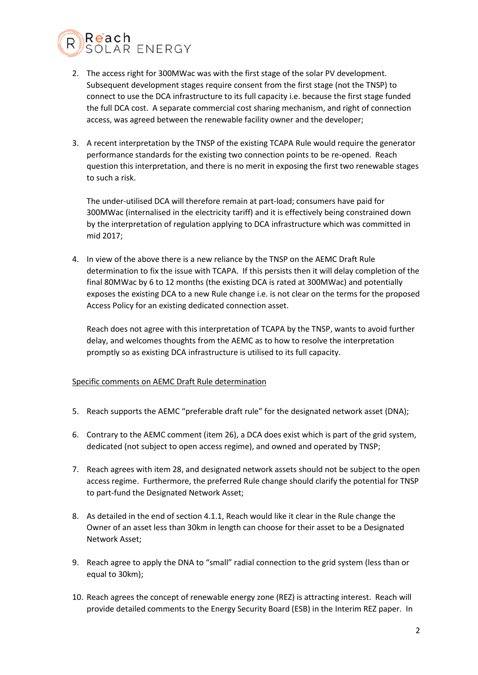

- 2. The access right for 300MWac was with the first stage of the solar PV development. Subsequent development stages require consent from the first stage (not the TNSP) to connect to use the DCA infrastructure to its full capacity i.e. because the first stage funded the full DCA cost. A separate commercial cost sharing mechanism, and right of connection access, was agreed between the renewable facility owner and the developer;
- 3. A recent interpretation by the TNSP of the existing TCAPA Rule would require the generator performance standards for the existing two connection points to be re-opened. Reach question this interpretation, and there is no merit in exposing the first two renewable stages to such a risk.

The under-utilised DCA will therefore remain at part-load; consumers have paid for 300MWac (internalised in the electricity tariff) and it is effectively being constrained down by the interpretation of regulation applying to DCA infrastructure which was committed in mid 2017;

4. In view of the above there is a new reliance by the TNSP on the AEMC Draft Rule determination to fix the issue with TCAPA. If this persists then it will delay completion of the final 80MWac by 6 to 12 months (the existing DCA is rated at 300MWac) and potentially exposes the existing DCA to a new Rule change i.e. is not clear on the terms for the proposed Access Policy for an existing dedicated connection asset.

Reach does not agree with this interpretation of TCAPA by the TNSP, wants to avoid further delay, and welcomes thoughts from the AEMC as to how to resolve the interpretation promptly so as existing DCA infrastructure is utilised to its full capacity.

## Specific comments on AEMC Draft Rule determination

- 5. Reach supports the AEMC "preferable draft rule" for the designated network asset (DNA);
- 6. Contrary to the AEMC comment (item 26), a DCA does exist which is part of the grid system, dedicated (not subject to open access regime), and owned and operated by TNSP;
- 7. Reach agrees with item 28, and designated network assets should not be subject to the open access regime. Furthermore, the preferred Rule change should clarify the potential for TNSP to part-fund the Designated Network Asset;
- 8. As detailed in the end of section 4.1.1, Reach would like it clear in the Rule change the Owner of an asset less than 30km in length can choose for their asset to be a Designated Network Asset;
- 9. Reach agree to apply the DNA to "small" radial connection to the grid system (less than or equal to 30km);
- 10. Reach agrees the concept of renewable energy zone (REZ) is attracting interest. Reach will provide detailed comments to the Energy Security Board (ESB) in the Interim REZ paper. In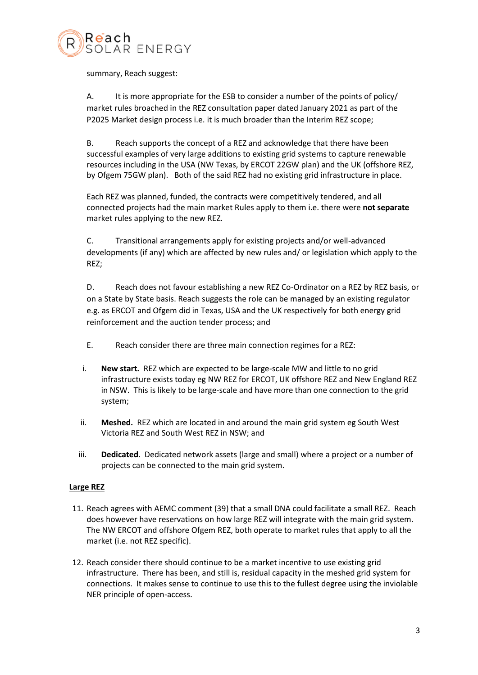

summary, Reach suggest:

A. It is more appropriate for the ESB to consider a number of the points of policy/ market rules broached in the REZ consultation paper dated January 2021 as part of the P2025 Market design process i.e. it is much broader than the Interim REZ scope;

B. Reach supports the concept of a REZ and acknowledge that there have been successful examples of very large additions to existing grid systems to capture renewable resources including in the USA (NW Texas, by ERCOT 22GW plan) and the UK (offshore REZ, by Ofgem 75GW plan). Both of the said REZ had no existing grid infrastructure in place.

Each REZ was planned, funded, the contracts were competitively tendered, and all connected projects had the main market Rules apply to them i.e. there were **not separate** market rules applying to the new REZ.

C. Transitional arrangements apply for existing projects and/or well-advanced developments (if any) which are affected by new rules and/ or legislation which apply to the REZ;

D. Reach does not favour establishing a new REZ Co-Ordinator on a REZ by REZ basis, or on a State by State basis. Reach suggests the role can be managed by an existing regulator e.g. as ERCOT and Ofgem did in Texas, USA and the UK respectively for both energy grid reinforcement and the auction tender process; and

- E. Reach consider there are three main connection regimes for a REZ:
- i. **New start.** REZ which are expected to be large-scale MW and little to no grid infrastructure exists today eg NW REZ for ERCOT, UK offshore REZ and New England REZ in NSW. This is likely to be large-scale and have more than one connection to the grid system;
- ii. **Meshed.** REZ which are located in and around the main grid system eg South West Victoria REZ and South West REZ in NSW; and
- iii. **Dedicated**. Dedicated network assets (large and small) where a project or a number of projects can be connected to the main grid system.

## **Large REZ**

- 11. Reach agrees with AEMC comment (39) that a small DNA could facilitate a small REZ. Reach does however have reservations on how large REZ will integrate with the main grid system. The NW ERCOT and offshore Ofgem REZ, both operate to market rules that apply to all the market (i.e. not REZ specific).
- 12. Reach consider there should continue to be a market incentive to use existing grid infrastructure. There has been, and still is, residual capacity in the meshed grid system for connections. It makes sense to continue to use this to the fullest degree using the inviolable NER principle of open-access.